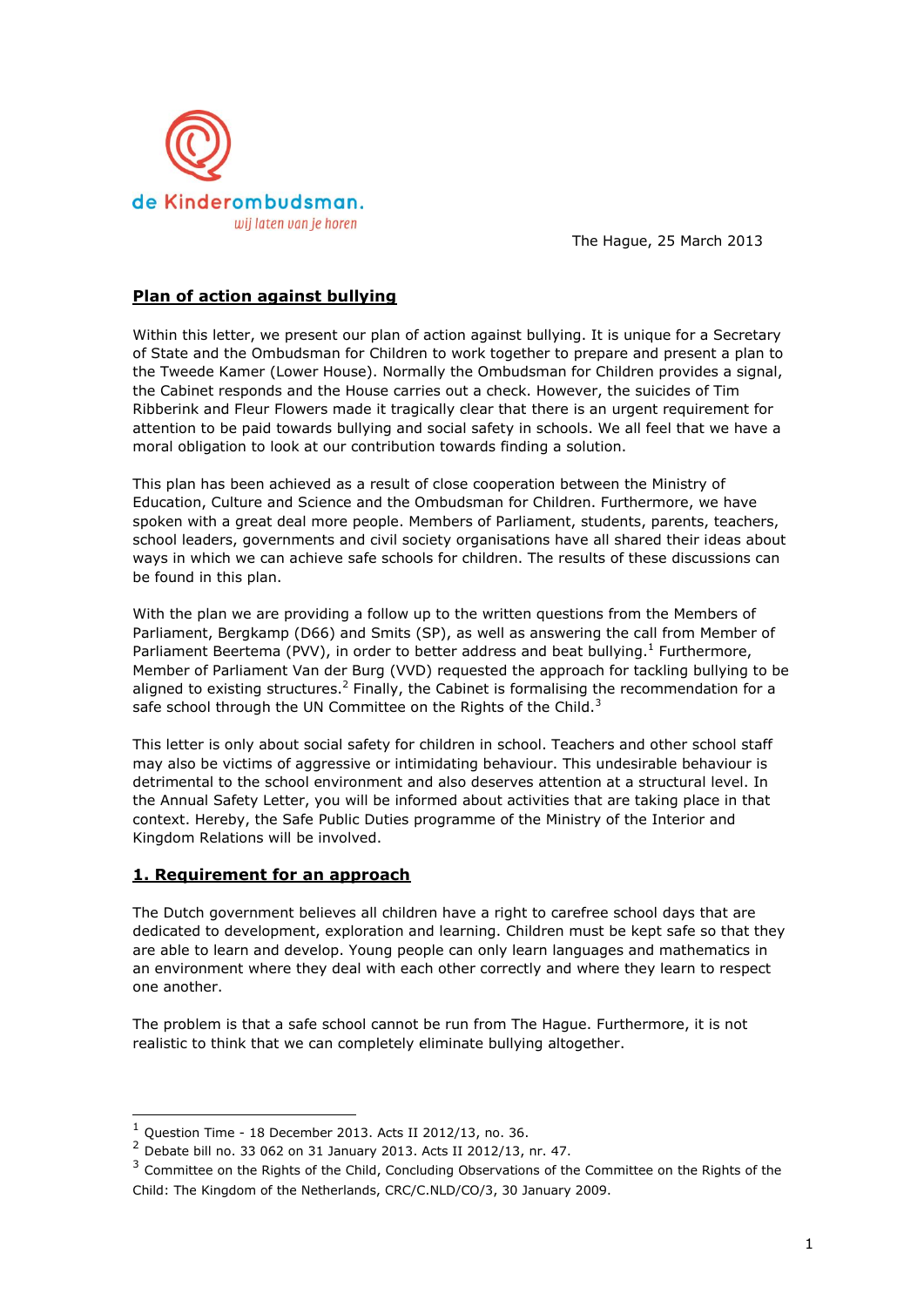

The Hague, 25 March 2013

## **Plan of action against bullying**

Within this letter, we present our plan of action against bullying. It is unique for a Secretary of State and the Ombudsman for Children to work together to prepare and present a plan to the Tweede Kamer (Lower House). Normally the Ombudsman for Children provides a signal, the Cabinet responds and the House carries out a check. However, the suicides of Tim Ribberink and Fleur Flowers made it tragically clear that there is an urgent requirement for attention to be paid towards bullying and social safety in schools. We all feel that we have a moral obligation to look at our contribution towards finding a solution.

This plan has been achieved as a result of close cooperation between the Ministry of Education, Culture and Science and the Ombudsman for Children. Furthermore, we have spoken with a great deal more people. Members of Parliament, students, parents, teachers, school leaders, governments and civil society organisations have all shared their ideas about ways in which we can achieve safe schools for children. The results of these discussions can be found in this plan.

With the plan we are providing a follow up to the written questions from the Members of Parliament, Bergkamp (D66) and Smits (SP), as well as answering the call from Member of Parliament Beertema (PVV), in order to better address and beat bullying.<sup>1</sup> Furthermore, Member of Parliament Van der Burg (VVD) requested the approach for tackling bullying to be aligned to existing structures.<sup>2</sup> Finally, the Cabinet is formalising the recommendation for a safe school through the UN Committee on the Rights of the Child. $3$ 

This letter is only about social safety for children in school. Teachers and other school staff may also be victims of aggressive or intimidating behaviour. This undesirable behaviour is detrimental to the school environment and also deserves attention at a structural level. In the Annual Safety Letter, you will be informed about activities that are taking place in that context. Hereby, the Safe Public Duties programme of the Ministry of the Interior and Kingdom Relations will be involved.

## **1. Requirement for an approach**

ł

The Dutch government believes all children have a right to carefree school days that are dedicated to development, exploration and learning. Children must be kept safe so that they are able to learn and develop. Young people can only learn languages and mathematics in an environment where they deal with each other correctly and where they learn to respect one another.

The problem is that a safe school cannot be run from The Hague. Furthermore, it is not realistic to think that we can completely eliminate bullying altogether.

<sup>1</sup> Question Time - 18 December 2013. Acts II 2012/13, no. 36.

<sup>2</sup> Debate bill no. 33 062 on 31 January 2013. Acts II 2012/13, nr. 47.

 $3$  Committee on the Rights of the Child, Concluding Observations of the Committee on the Rights of the Child: The Kingdom of the Netherlands, CRC/C.NLD/CO/3, 30 January 2009.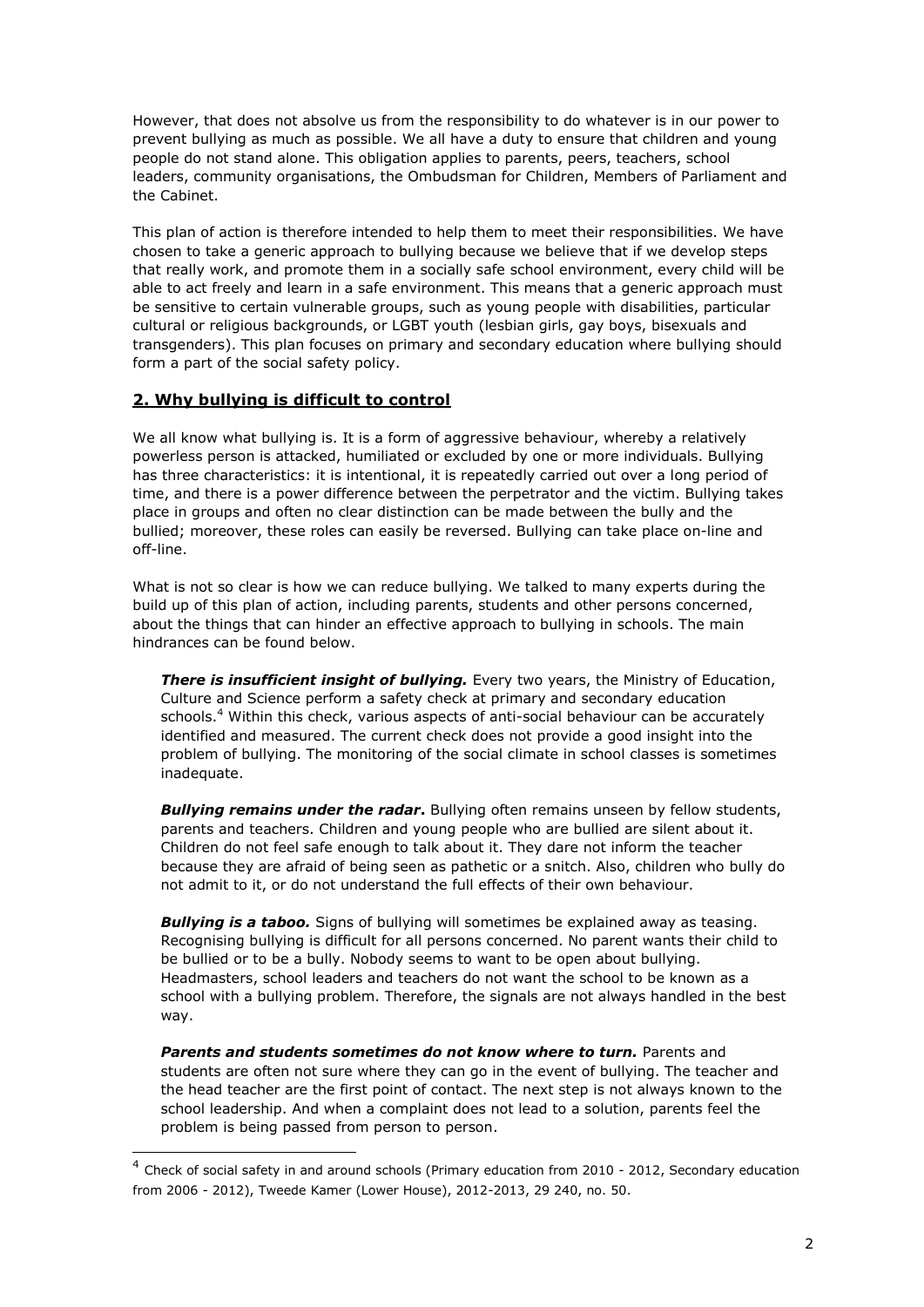However, that does not absolve us from the responsibility to do whatever is in our power to prevent bullying as much as possible. We all have a duty to ensure that children and young people do not stand alone. This obligation applies to parents, peers, teachers, school leaders, community organisations, the Ombudsman for Children, Members of Parliament and the Cabinet.

This plan of action is therefore intended to help them to meet their responsibilities. We have chosen to take a generic approach to bullying because we believe that if we develop steps that really work, and promote them in a socially safe school environment, every child will be able to act freely and learn in a safe environment. This means that a generic approach must be sensitive to certain vulnerable groups, such as young people with disabilities, particular cultural or religious backgrounds, or LGBT youth (lesbian girls, gay boys, bisexuals and transgenders). This plan focuses on primary and secondary education where bullying should form a part of the social safety policy.

## **2. Why bullying is difficult to control**

ł

We all know what bullying is. It is a form of aggressive behaviour, whereby a relatively powerless person is attacked, humiliated or excluded by one or more individuals. Bullying has three characteristics: it is intentional, it is repeatedly carried out over a long period of time, and there is a power difference between the perpetrator and the victim. Bullying takes place in groups and often no clear distinction can be made between the bully and the bullied; moreover, these roles can easily be reversed. Bullying can take place on-line and off-line.

What is not so clear is how we can reduce bullying. We talked to many experts during the build up of this plan of action, including parents, students and other persons concerned, about the things that can hinder an effective approach to bullying in schools. The main hindrances can be found below.

*There is insufficient insight of bullying.* Every two years, the Ministry of Education, Culture and Science perform a safety check at primary and secondary education schools.<sup>4</sup> Within this check, various aspects of anti-social behaviour can be accurately identified and measured. The current check does not provide a good insight into the problem of bullying. The monitoring of the social climate in school classes is sometimes inadequate.

**Bullying remains under the radar.** Bullying often remains unseen by fellow students, parents and teachers. Children and young people who are bullied are silent about it. Children do not feel safe enough to talk about it. They dare not inform the teacher because they are afraid of being seen as pathetic or a snitch. Also, children who bully do not admit to it, or do not understand the full effects of their own behaviour.

*Bullying is a taboo.* Signs of bullying will sometimes be explained away as teasing. Recognising bullying is difficult for all persons concerned. No parent wants their child to be bullied or to be a bully. Nobody seems to want to be open about bullying. Headmasters, school leaders and teachers do not want the school to be known as a school with a bullying problem. Therefore, the signals are not always handled in the best way.

*Parents and students sometimes do not know where to turn.* Parents and students are often not sure where they can go in the event of bullying. The teacher and the head teacher are the first point of contact. The next step is not always known to the school leadership. And when a complaint does not lead to a solution, parents feel the problem is being passed from person to person.

<sup>&</sup>lt;sup>4</sup> Check of social safety in and around schools (Primary education from 2010 - 2012, Secondary education from 2006 - 2012), Tweede Kamer (Lower House), 2012-2013, 29 240, no. 50.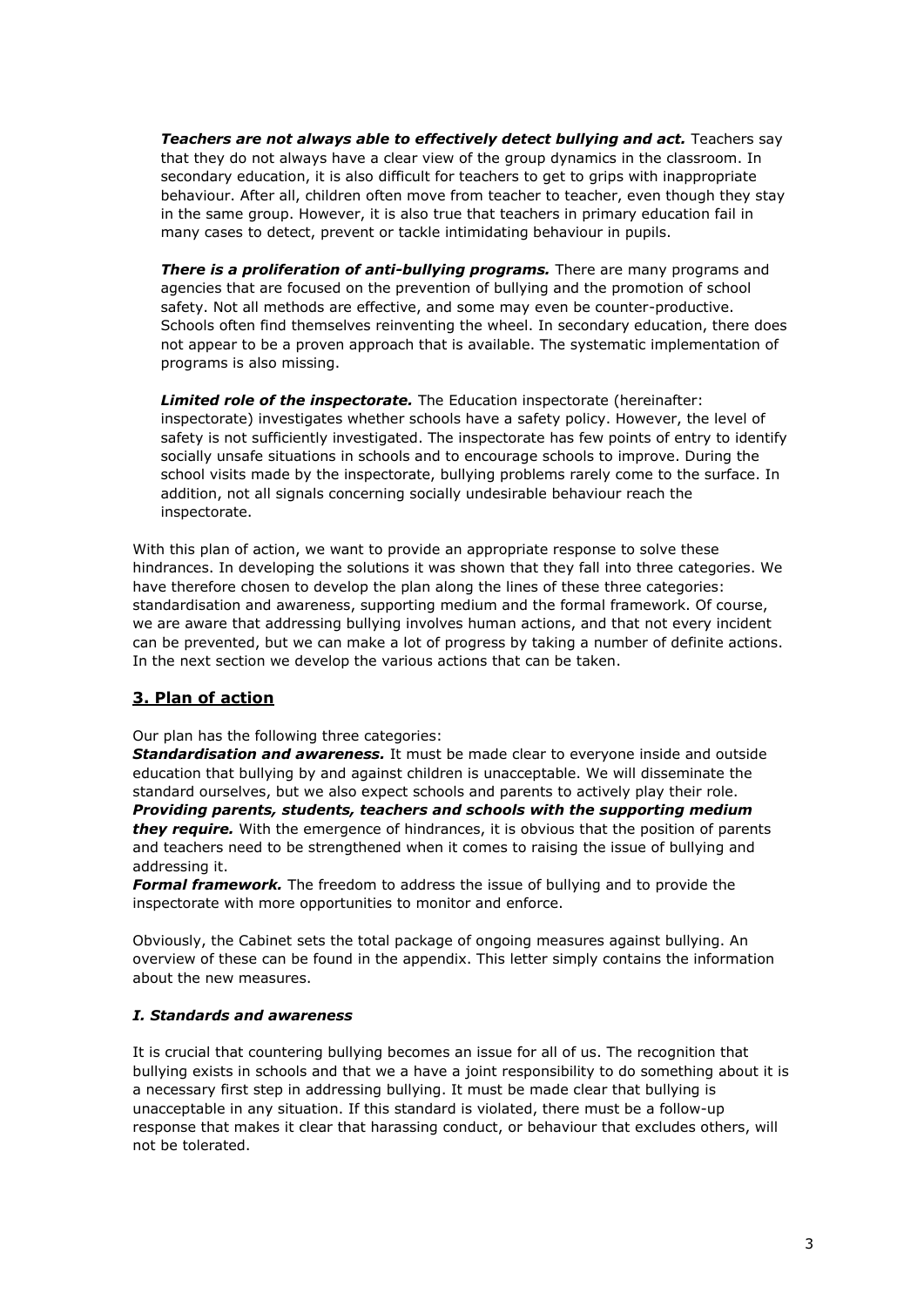*Teachers are not always able to effectively detect bullying and act.* Teachers say that they do not always have a clear view of the group dynamics in the classroom. In secondary education, it is also difficult for teachers to get to grips with inappropriate behaviour. After all, children often move from teacher to teacher, even though they stay in the same group. However, it is also true that teachers in primary education fail in many cases to detect, prevent or tackle intimidating behaviour in pupils.

*There is a proliferation of anti-bullving programs.* There are many programs and agencies that are focused on the prevention of bullying and the promotion of school safety. Not all methods are effective, and some may even be counter-productive. Schools often find themselves reinventing the wheel. In secondary education, there does not appear to be a proven approach that is available. The systematic implementation of programs is also missing.

*Limited role of the inspectorate.* The Education inspectorate (hereinafter: inspectorate) investigates whether schools have a safety policy. However, the level of safety is not sufficiently investigated. The inspectorate has few points of entry to identify socially unsafe situations in schools and to encourage schools to improve. During the school visits made by the inspectorate, bullying problems rarely come to the surface. In addition, not all signals concerning socially undesirable behaviour reach the inspectorate.

With this plan of action, we want to provide an appropriate response to solve these hindrances. In developing the solutions it was shown that they fall into three categories. We have therefore chosen to develop the plan along the lines of these three categories: standardisation and awareness, supporting medium and the formal framework. Of course, we are aware that addressing bullying involves human actions, and that not every incident can be prevented, but we can make a lot of progress by taking a number of definite actions. In the next section we develop the various actions that can be taken.

## **3. Plan of action**

Our plan has the following three categories:

*Standardisation and awareness.* It must be made clear to everyone inside and outside education that bullying by and against children is unacceptable. We will disseminate the standard ourselves, but we also expect schools and parents to actively play their role. *Providing parents, students, teachers and schools with the supporting medium they require.* With the emergence of hindrances, it is obvious that the position of parents and teachers need to be strengthened when it comes to raising the issue of bullying and addressing it.

*Formal framework.* The freedom to address the issue of bullying and to provide the inspectorate with more opportunities to monitor and enforce.

Obviously, the Cabinet sets the total package of ongoing measures against bullying. An overview of these can be found in the appendix. This letter simply contains the information about the new measures.

## *I. Standards and awareness*

It is crucial that countering bullying becomes an issue for all of us. The recognition that bullying exists in schools and that we a have a joint responsibility to do something about it is a necessary first step in addressing bullying. It must be made clear that bullying is unacceptable in any situation. If this standard is violated, there must be a follow-up response that makes it clear that harassing conduct, or behaviour that excludes others, will not be tolerated.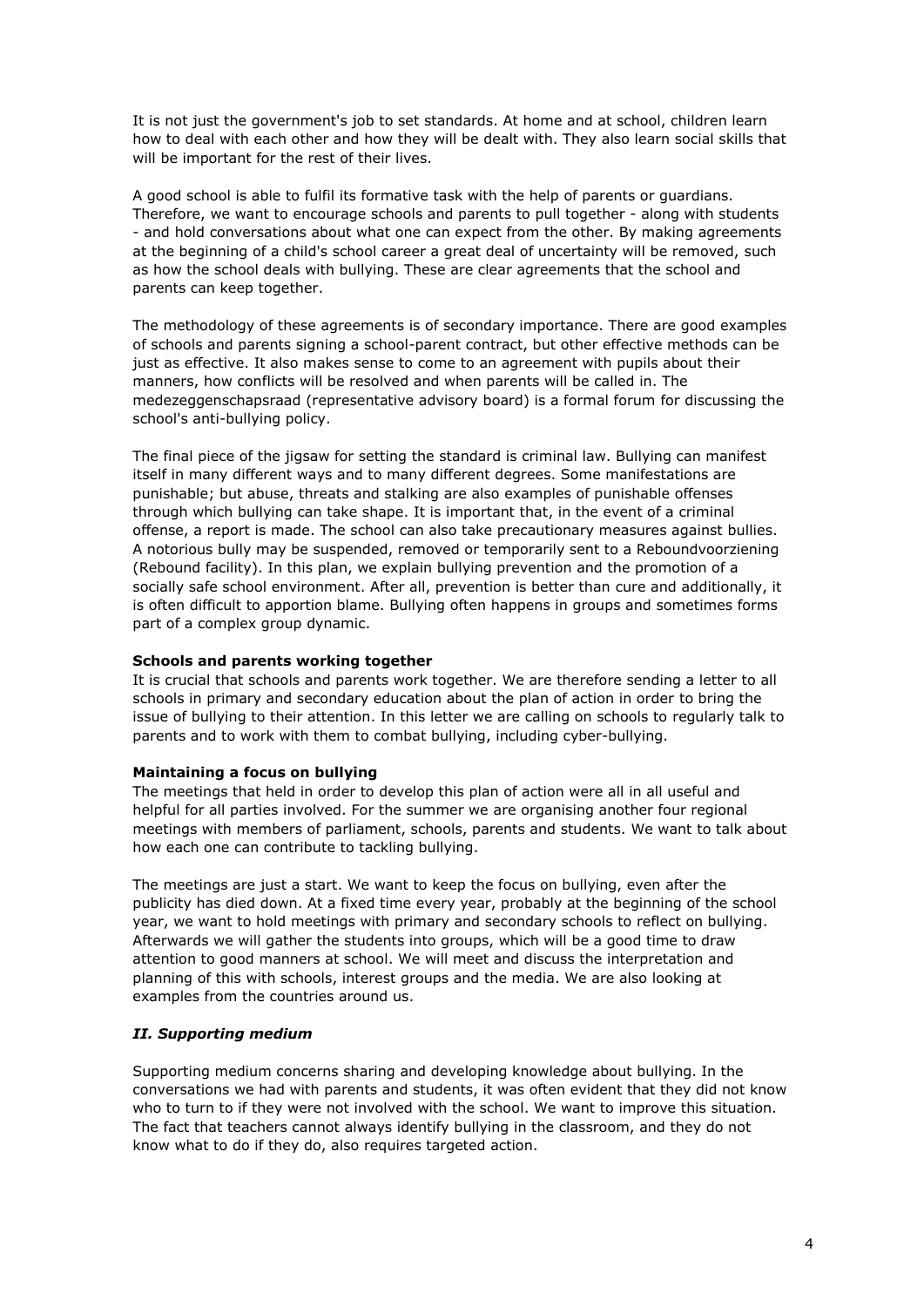It is not just the government's job to set standards. At home and at school, children learn how to deal with each other and how they will be dealt with. They also learn social skills that will be important for the rest of their lives.

A good school is able to fulfil its formative task with the help of parents or guardians. Therefore, we want to encourage schools and parents to pull together - along with students - and hold conversations about what one can expect from the other. By making agreements at the beginning of a child's school career a great deal of uncertainty will be removed, such as how the school deals with bullying. These are clear agreements that the school and parents can keep together.

The methodology of these agreements is of secondary importance. There are good examples of schools and parents signing a school-parent contract, but other effective methods can be just as effective. It also makes sense to come to an agreement with pupils about their manners, how conflicts will be resolved and when parents will be called in. The medezeggenschapsraad (representative advisory board) is a formal forum for discussing the school's anti-bullying policy.

The final piece of the jigsaw for setting the standard is criminal law. Bullying can manifest itself in many different ways and to many different degrees. Some manifestations are punishable; but abuse, threats and stalking are also examples of punishable offenses through which bullying can take shape. It is important that, in the event of a criminal offense, a report is made. The school can also take precautionary measures against bullies. A notorious bully may be suspended, removed or temporarily sent to a Reboundvoorziening (Rebound facility). In this plan, we explain bullying prevention and the promotion of a socially safe school environment. After all, prevention is better than cure and additionally, it is often difficult to apportion blame. Bullying often happens in groups and sometimes forms part of a complex group dynamic.

## **Schools and parents working together**

It is crucial that schools and parents work together. We are therefore sending a letter to all schools in primary and secondary education about the plan of action in order to bring the issue of bullying to their attention. In this letter we are calling on schools to regularly talk to parents and to work with them to combat bullying, including cyber-bullying.

## **Maintaining a focus on bullying**

The meetings that held in order to develop this plan of action were all in all useful and helpful for all parties involved. For the summer we are organising another four regional meetings with members of parliament, schools, parents and students. We want to talk about how each one can contribute to tackling bullying.

The meetings are just a start. We want to keep the focus on bullying, even after the publicity has died down. At a fixed time every year, probably at the beginning of the school year, we want to hold meetings with primary and secondary schools to reflect on bullying. Afterwards we will gather the students into groups, which will be a good time to draw attention to good manners at school. We will meet and discuss the interpretation and planning of this with schools, interest groups and the media. We are also looking at examples from the countries around us.

## *II. Supporting medium*

Supporting medium concerns sharing and developing knowledge about bullying. In the conversations we had with parents and students, it was often evident that they did not know who to turn to if they were not involved with the school. We want to improve this situation. The fact that teachers cannot always identify bullying in the classroom, and they do not know what to do if they do, also requires targeted action.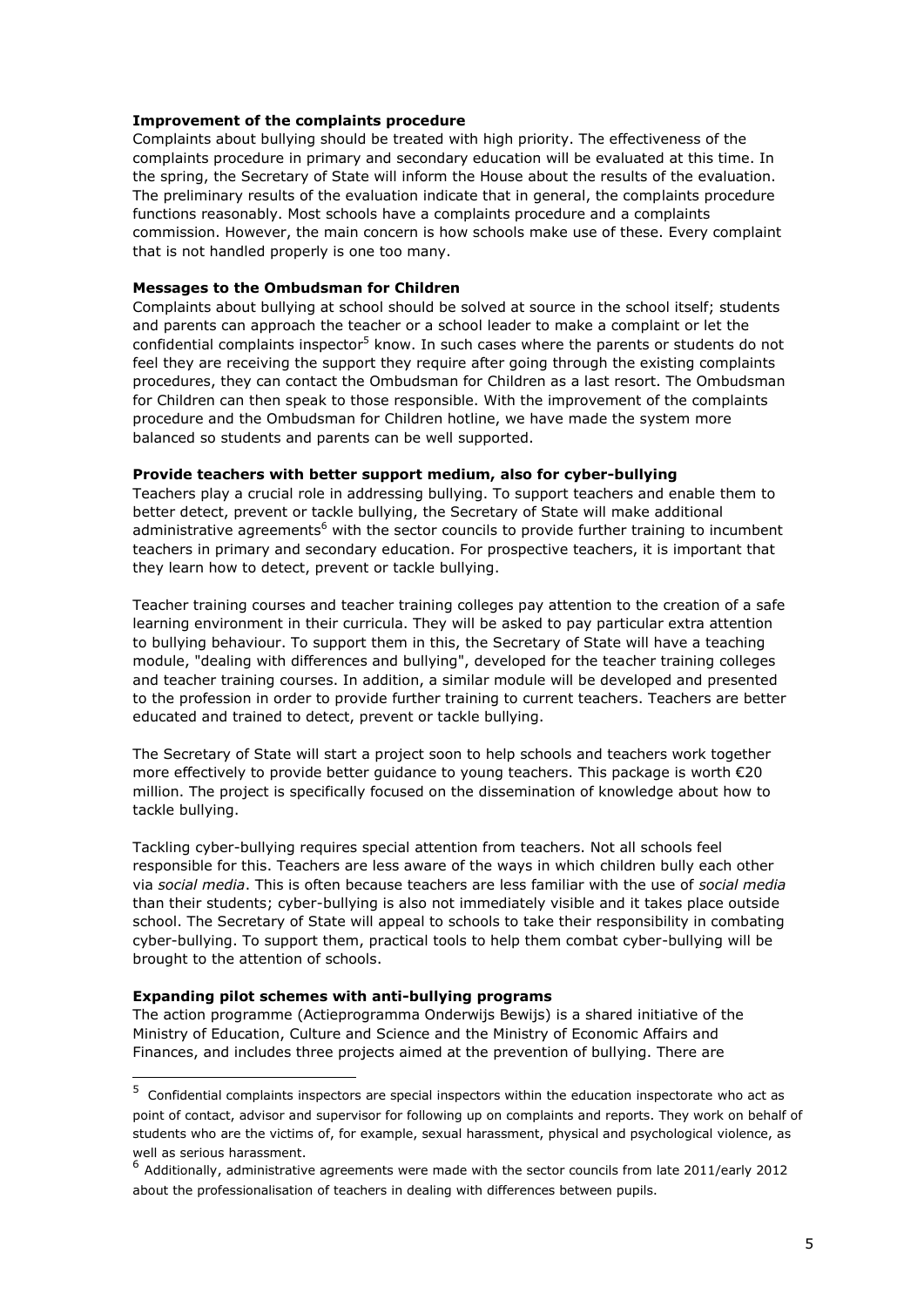### **Improvement of the complaints procedure**

Complaints about bullying should be treated with high priority. The effectiveness of the complaints procedure in primary and secondary education will be evaluated at this time. In the spring, the Secretary of State will inform the House about the results of the evaluation. The preliminary results of the evaluation indicate that in general, the complaints procedure functions reasonably. Most schools have a complaints procedure and a complaints commission. However, the main concern is how schools make use of these. Every complaint that is not handled properly is one too many.

## **Messages to the Ombudsman for Children**

Complaints about bullying at school should be solved at source in the school itself; students and parents can approach the teacher or a school leader to make a complaint or let the confidential complaints inspector<sup>5</sup> know. In such cases where the parents or students do not feel they are receiving the support they require after going through the existing complaints procedures, they can contact the Ombudsman for Children as a last resort. The Ombudsman for Children can then speak to those responsible. With the improvement of the complaints procedure and the Ombudsman for Children hotline, we have made the system more balanced so students and parents can be well supported.

#### **Provide teachers with better support medium, also for cyber-bullying**

Teachers play a crucial role in addressing bullying. To support teachers and enable them to better detect, prevent or tackle bullying, the Secretary of State will make additional administrative agreements<sup>6</sup> with the sector councils to provide further training to incumbent teachers in primary and secondary education. For prospective teachers, it is important that they learn how to detect, prevent or tackle bullying.

Teacher training courses and teacher training colleges pay attention to the creation of a safe learning environment in their curricula. They will be asked to pay particular extra attention to bullying behaviour. To support them in this, the Secretary of State will have a teaching module, "dealing with differences and bullying", developed for the teacher training colleges and teacher training courses. In addition, a similar module will be developed and presented to the profession in order to provide further training to current teachers. Teachers are better educated and trained to detect, prevent or tackle bullying.

The Secretary of State will start a project soon to help schools and teachers work together more effectively to provide better guidance to young teachers. This package is worth €20 million. The project is specifically focused on the dissemination of knowledge about how to tackle bullying.

Tackling cyber-bullying requires special attention from teachers. Not all schools feel responsible for this. Teachers are less aware of the ways in which children bully each other via *social media*. This is often because teachers are less familiar with the use of *social media* than their students; cyber-bullying is also not immediately visible and it takes place outside school. The Secretary of State will appeal to schools to take their responsibility in combating cyber-bullying. To support them, practical tools to help them combat cyber-bullying will be brought to the attention of schools.

### **Expanding pilot schemes with anti-bullying programs**

The action programme (Actieprogramma Onderwijs Bewijs) is a shared initiative of the Ministry of Education, Culture and Science and the Ministry of Economic Affairs and Finances, and includes three projects aimed at the prevention of bullying. There are

 5 Confidential complaints inspectors are special inspectors within the education inspectorate who act as point of contact, advisor and supervisor for following up on complaints and reports. They work on behalf of students who are the victims of, for example, sexual harassment, physical and psychological violence, as well as serious harassment.

 $^6$  Additionally, administrative agreements were made with the sector councils from late 2011/early 2012 about the professionalisation of teachers in dealing with differences between pupils.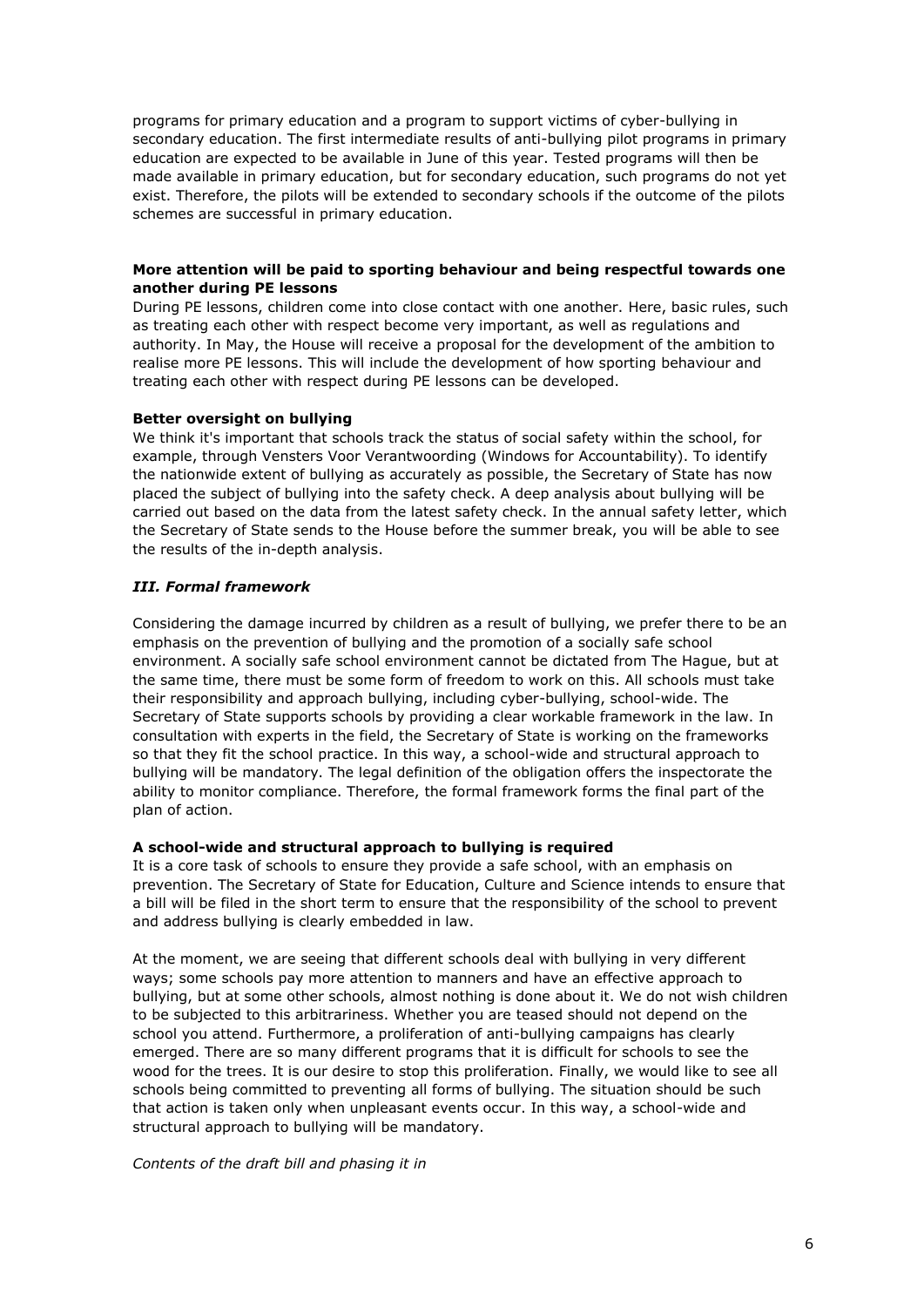programs for primary education and a program to support victims of cyber-bullying in secondary education. The first intermediate results of anti-bullying pilot programs in primary education are expected to be available in June of this year. Tested programs will then be made available in primary education, but for secondary education, such programs do not yet exist. Therefore, the pilots will be extended to secondary schools if the outcome of the pilots schemes are successful in primary education.

## **More attention will be paid to sporting behaviour and being respectful towards one another during PE lessons**

During PE lessons, children come into close contact with one another. Here, basic rules, such as treating each other with respect become very important, as well as regulations and authority. In May, the House will receive a proposal for the development of the ambition to realise more PE lessons. This will include the development of how sporting behaviour and treating each other with respect during PE lessons can be developed.

## **Better oversight on bullying**

We think it's important that schools track the status of social safety within the school, for example, through Vensters Voor Verantwoording (Windows for Accountability). To identify the nationwide extent of bullying as accurately as possible, the Secretary of State has now placed the subject of bullying into the safety check. A deep analysis about bullying will be carried out based on the data from the latest safety check. In the annual safety letter, which the Secretary of State sends to the House before the summer break, you will be able to see the results of the in-depth analysis.

## *III. Formal framework*

Considering the damage incurred by children as a result of bullying, we prefer there to be an emphasis on the prevention of bullying and the promotion of a socially safe school environment. A socially safe school environment cannot be dictated from The Hague, but at the same time, there must be some form of freedom to work on this. All schools must take their responsibility and approach bullying, including cyber-bullying, school-wide. The Secretary of State supports schools by providing a clear workable framework in the law. In consultation with experts in the field, the Secretary of State is working on the frameworks so that they fit the school practice. In this way, a school-wide and structural approach to bullying will be mandatory. The legal definition of the obligation offers the inspectorate the ability to monitor compliance. Therefore, the formal framework forms the final part of the plan of action.

## **A school-wide and structural approach to bullying is required**

It is a core task of schools to ensure they provide a safe school, with an emphasis on prevention. The Secretary of State for Education, Culture and Science intends to ensure that a bill will be filed in the short term to ensure that the responsibility of the school to prevent and address bullying is clearly embedded in law.

At the moment, we are seeing that different schools deal with bullying in very different ways; some schools pay more attention to manners and have an effective approach to bullying, but at some other schools, almost nothing is done about it. We do not wish children to be subjected to this arbitrariness. Whether you are teased should not depend on the school you attend. Furthermore, a proliferation of anti-bullying campaigns has clearly emerged. There are so many different programs that it is difficult for schools to see the wood for the trees. It is our desire to stop this proliferation. Finally, we would like to see all schools being committed to preventing all forms of bullying. The situation should be such that action is taken only when unpleasant events occur. In this way, a school-wide and structural approach to bullying will be mandatory.

*Contents of the draft bill and phasing it in*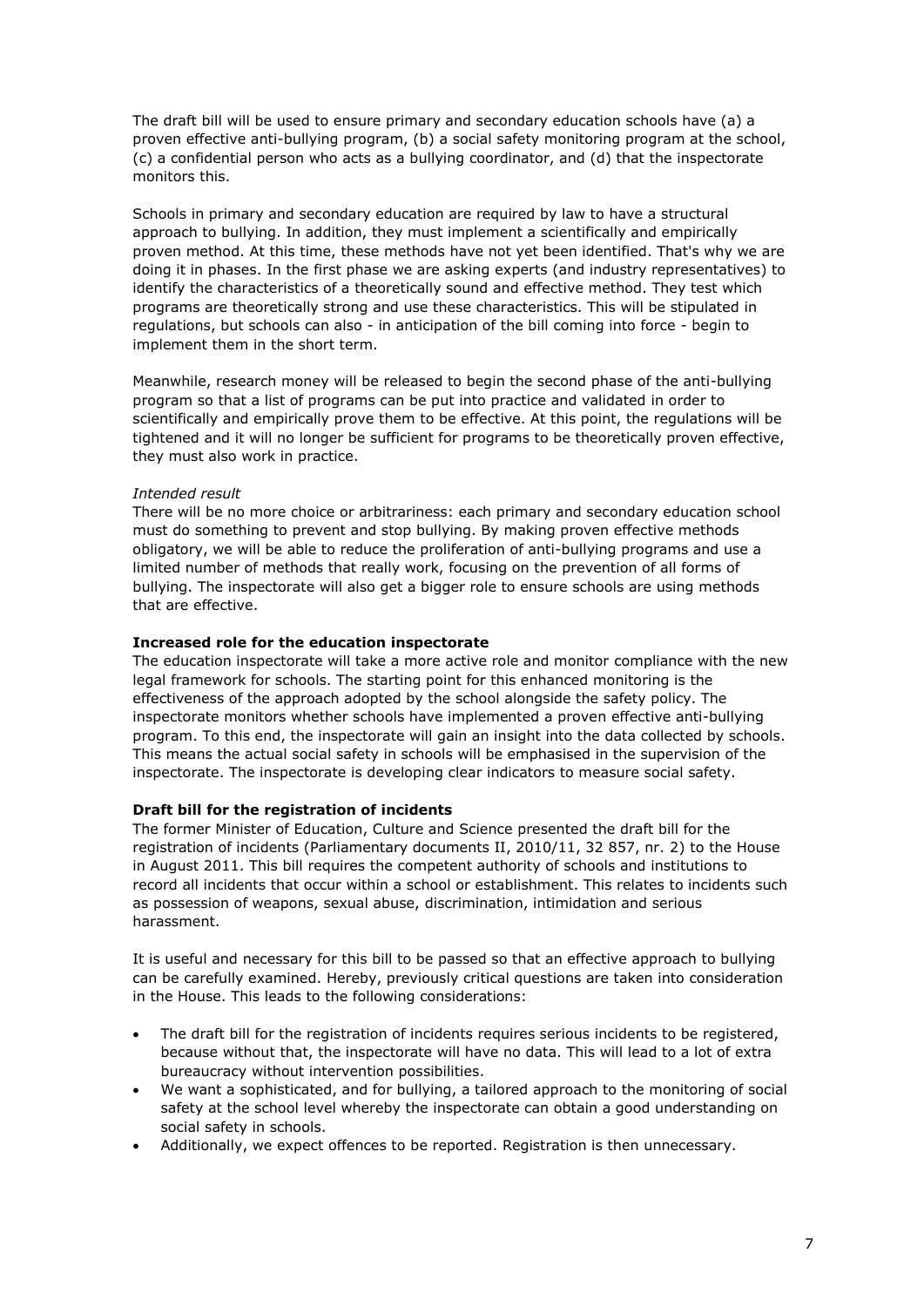The draft bill will be used to ensure primary and secondary education schools have (a) a proven effective anti-bullying program, (b) a social safety monitoring program at the school, (c) a confidential person who acts as a bullying coordinator, and (d) that the inspectorate monitors this.

Schools in primary and secondary education are required by law to have a structural approach to bullying. In addition, they must implement a scientifically and empirically proven method. At this time, these methods have not yet been identified. That's why we are doing it in phases. In the first phase we are asking experts (and industry representatives) to identify the characteristics of a theoretically sound and effective method. They test which programs are theoretically strong and use these characteristics. This will be stipulated in regulations, but schools can also - in anticipation of the bill coming into force - begin to implement them in the short term.

Meanwhile, research money will be released to begin the second phase of the anti-bullying program so that a list of programs can be put into practice and validated in order to scientifically and empirically prove them to be effective. At this point, the regulations will be tightened and it will no longer be sufficient for programs to be theoretically proven effective, they must also work in practice.

## *Intended result*

There will be no more choice or arbitrariness: each primary and secondary education school must do something to prevent and stop bullying. By making proven effective methods obligatory, we will be able to reduce the proliferation of anti-bullying programs and use a limited number of methods that really work, focusing on the prevention of all forms of bullying. The inspectorate will also get a bigger role to ensure schools are using methods that are effective.

## **Increased role for the education inspectorate**

The education inspectorate will take a more active role and monitor compliance with the new legal framework for schools. The starting point for this enhanced monitoring is the effectiveness of the approach adopted by the school alongside the safety policy. The inspectorate monitors whether schools have implemented a proven effective anti-bullying program. To this end, the inspectorate will gain an insight into the data collected by schools. This means the actual social safety in schools will be emphasised in the supervision of the inspectorate. The inspectorate is developing clear indicators to measure social safety.

## **Draft bill for the registration of incidents**

The former Minister of Education, Culture and Science presented the draft bill for the registration of incidents (Parliamentary documents II, 2010/11, 32 857, nr. 2) to the House in August 2011. This bill requires the competent authority of schools and institutions to record all incidents that occur within a school or establishment. This relates to incidents such as possession of weapons, sexual abuse, discrimination, intimidation and serious harassment.

It is useful and necessary for this bill to be passed so that an effective approach to bullying can be carefully examined. Hereby, previously critical questions are taken into consideration in the House. This leads to the following considerations:

- The draft bill for the registration of incidents requires serious incidents to be registered, because without that, the inspectorate will have no data. This will lead to a lot of extra bureaucracy without intervention possibilities.
- We want a sophisticated, and for bullying, a tailored approach to the monitoring of social safety at the school level whereby the inspectorate can obtain a good understanding on social safety in schools.
- Additionally, we expect offences to be reported. Registration is then unnecessary.